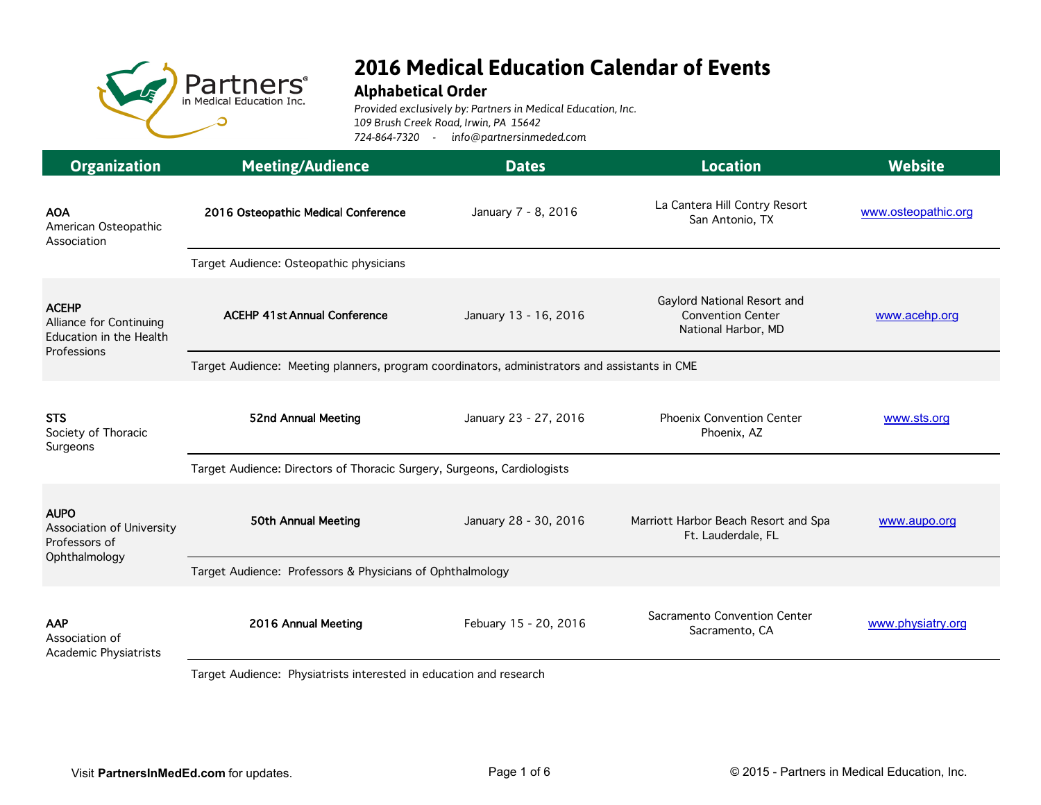

## **2016 Medical Education Calendar of Events**

## **Alphabetical Order**

*Provided exclusively by: Partners in Medical Education, Inc. 109 Brush Creek Road, Irwin, PA 15642 724-864-7320 - info@partnersinmeded.com*

| <b>Organization</b>                                                        | <b>Meeting/Audience</b>                                                                                                                                                                                                                               | <b>Dates</b>          | <b>Location</b>                                                                | <b>Website</b>      |  |
|----------------------------------------------------------------------------|-------------------------------------------------------------------------------------------------------------------------------------------------------------------------------------------------------------------------------------------------------|-----------------------|--------------------------------------------------------------------------------|---------------------|--|
| <b>AOA</b><br>American Osteopathic<br>Association                          | 2016 Osteopathic Medical Conference                                                                                                                                                                                                                   | January 7 - 8, 2016   | La Cantera Hill Contry Resort<br>San Antonio, TX                               | www.osteopathic.org |  |
|                                                                            | Target Audience: Osteopathic physicians                                                                                                                                                                                                               |                       |                                                                                |                     |  |
| <b>ACEHP</b><br>Alliance for Continuing<br>Education in the Health         | <b>ACEHP 41st Annual Conference</b>                                                                                                                                                                                                                   | January 13 - 16, 2016 | Gaylord National Resort and<br><b>Convention Center</b><br>National Harbor, MD | www.acehp.org       |  |
| Professions                                                                | Target Audience: Meeting planners, program coordinators, administrators and assistants in CME                                                                                                                                                         |                       |                                                                                |                     |  |
| <b>STS</b><br>Society of Thoracic<br>Surgeons                              | 52nd Annual Meeting                                                                                                                                                                                                                                   | January 23 - 27, 2016 | <b>Phoenix Convention Center</b><br>Phoenix, AZ                                | www.sts.org         |  |
|                                                                            | Target Audience: Directors of Thoracic Surgery, Surgeons, Cardiologists                                                                                                                                                                               |                       |                                                                                |                     |  |
| <b>AUPO</b><br>Association of University<br>Professors of<br>Ophthalmology | 50th Annual Meeting                                                                                                                                                                                                                                   | January 28 - 30, 2016 | Marriott Harbor Beach Resort and Spa<br>Ft. Lauderdale, FL                     | www.aupo.org        |  |
|                                                                            | Target Audience: Professors & Physicians of Ophthalmology                                                                                                                                                                                             |                       |                                                                                |                     |  |
| <b>AAP</b><br>Association of<br>Academic Physiatrists                      | 2016 Annual Meeting<br>the state of the state of the state of the state of the state of the state of the state of the state of the state of the state of the state of the state of the state of the state of the state of the state of the state of t | Febuary 15 - 20, 2016 | Sacramento Convention Center<br>Sacramento, CA                                 | www.physiatry.org   |  |

Target Audience: Physiatrists interested in education and research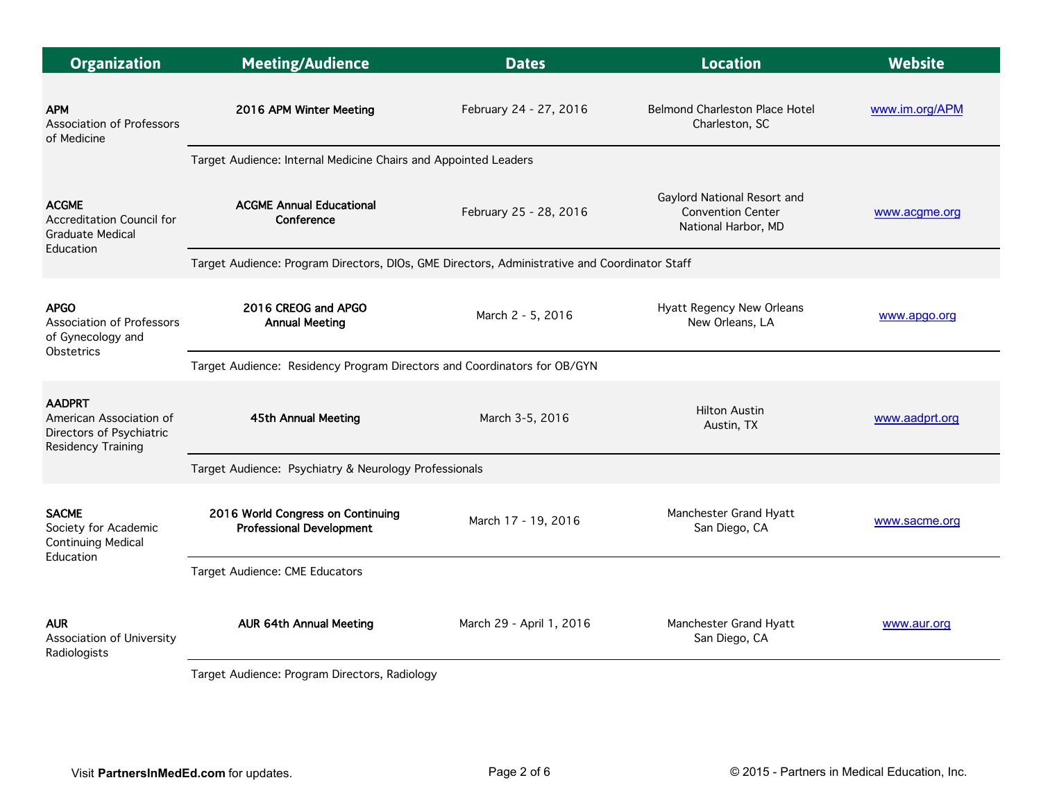| <b>Organization</b>                                                                               | <b>Meeting/Audience</b>                                                                       | <b>Dates</b>             | <b>Location</b>                                                                | <b>Website</b> |  |  |
|---------------------------------------------------------------------------------------------------|-----------------------------------------------------------------------------------------------|--------------------------|--------------------------------------------------------------------------------|----------------|--|--|
| <b>APM</b><br>Association of Professors<br>of Medicine                                            | 2016 APM Winter Meeting                                                                       | February 24 - 27, 2016   | <b>Belmond Charleston Place Hotel</b><br>Charleston, SC                        | www.im.org/APM |  |  |
|                                                                                                   | Target Audience: Internal Medicine Chairs and Appointed Leaders                               |                          |                                                                                |                |  |  |
| <b>ACGME</b><br>Accreditation Council for<br><b>Graduate Medical</b><br>Education                 | <b>ACGME Annual Educational</b><br>Conference                                                 | February 25 - 28, 2016   | Gaylord National Resort and<br><b>Convention Center</b><br>National Harbor, MD | www.acgme.org  |  |  |
|                                                                                                   | Target Audience: Program Directors, DIOs, GME Directors, Administrative and Coordinator Staff |                          |                                                                                |                |  |  |
| <b>APGO</b><br><b>Association of Professors</b><br>of Gynecology and                              | 2016 CREOG and APGO<br><b>Annual Meeting</b>                                                  | March 2 - 5, 2016        | Hyatt Regency New Orleans<br>New Orleans, LA                                   | www.apgo.org   |  |  |
| <b>Obstetrics</b>                                                                                 | Target Audience: Residency Program Directors and Coordinators for OB/GYN                      |                          |                                                                                |                |  |  |
| <b>AADPRT</b><br>American Association of<br>Directors of Psychiatric<br><b>Residency Training</b> | 45th Annual Meeting                                                                           | March 3-5, 2016          | <b>Hilton Austin</b><br>Austin, TX                                             | www.aadprt.org |  |  |
|                                                                                                   | Target Audience: Psychiatry & Neurology Professionals                                         |                          |                                                                                |                |  |  |
| <b>SACME</b><br>Society for Academic<br><b>Continuing Medical</b><br>Education                    | 2016 World Congress on Continuing<br><b>Professional Development</b>                          | March 17 - 19, 2016      | Manchester Grand Hyatt<br>San Diego, CA                                        | www.sacme.org  |  |  |
|                                                                                                   | Target Audience: CME Educators                                                                |                          |                                                                                |                |  |  |
| <b>AUR</b><br>Association of University<br>Radiologists                                           | <b>AUR 64th Annual Meeting</b><br>and Andhense Das man Directors Dealth in                    | March 29 - April 1, 2016 | Manchester Grand Hyatt<br>San Diego, CA                                        | www.aur.org    |  |  |

Target Audience: Program Directors, Radiology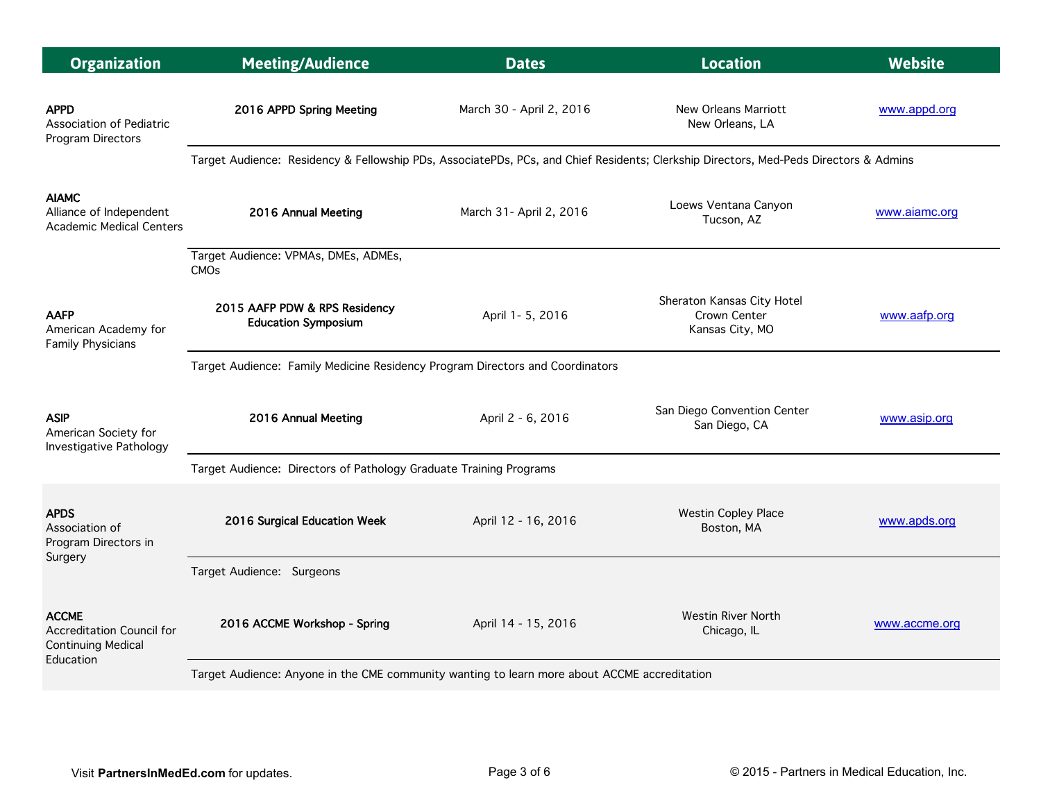| <b>Organization</b>                                                                 | <b>Meeting/Audience</b>                                                                                                               | <b>Dates</b>             | <b>Location</b>                                               | <b>Website</b> |  |  |
|-------------------------------------------------------------------------------------|---------------------------------------------------------------------------------------------------------------------------------------|--------------------------|---------------------------------------------------------------|----------------|--|--|
| <b>APPD</b><br>Association of Pediatric<br>Program Directors                        | 2016 APPD Spring Meeting                                                                                                              | March 30 - April 2, 2016 | New Orleans Marriott<br>New Orleans, LA                       | www.appd.org   |  |  |
|                                                                                     | Target Audience: Residency & Fellowship PDs, AssociatePDs, PCs, and Chief Residents; Clerkship Directors, Med-Peds Directors & Admins |                          |                                                               |                |  |  |
| <b>AIAMC</b><br>Alliance of Independent<br><b>Academic Medical Centers</b>          | 2016 Annual Meeting                                                                                                                   | March 31- April 2, 2016  | Loews Ventana Canyon<br>Tucson, AZ                            | www.aiamc.org  |  |  |
|                                                                                     | Target Audience: VPMAs, DMEs, ADMEs,<br><b>CMO<sub>s</sub></b>                                                                        |                          |                                                               |                |  |  |
| <b>AAFP</b><br>American Academy for<br><b>Family Physicians</b>                     | 2015 AAFP PDW & RPS Residency<br><b>Education Symposium</b>                                                                           | April 1- 5, 2016         | Sheraton Kansas City Hotel<br>Crown Center<br>Kansas City, MO | www.aafp.org   |  |  |
|                                                                                     | Target Audience: Family Medicine Residency Program Directors and Coordinators                                                         |                          |                                                               |                |  |  |
| <b>ASIP</b><br>American Society for<br>Investigative Pathology                      | 2016 Annual Meeting                                                                                                                   | April 2 - 6, 2016        | San Diego Convention Center<br>San Diego, CA                  | www.asip.org   |  |  |
|                                                                                     | Target Audience: Directors of Pathology Graduate Training Programs                                                                    |                          |                                                               |                |  |  |
| <b>APDS</b><br>Association of<br>Program Directors in<br>Surgery                    | 2016 Surgical Education Week                                                                                                          | April 12 - 16, 2016      | <b>Westin Copley Place</b><br>Boston, MA                      | www.apds.org   |  |  |
|                                                                                     | Target Audience: Surgeons                                                                                                             |                          |                                                               |                |  |  |
| <b>ACCME</b><br>Accreditation Council for<br><b>Continuing Medical</b><br>Education | 2016 ACCME Workshop - Spring                                                                                                          | April 14 - 15, 2016      | Westin River North<br>Chicago, IL                             | www.accme.org  |  |  |
|                                                                                     | Target Audience: Anyone in the CME community wanting to learn more about ACCME accreditation                                          |                          |                                                               |                |  |  |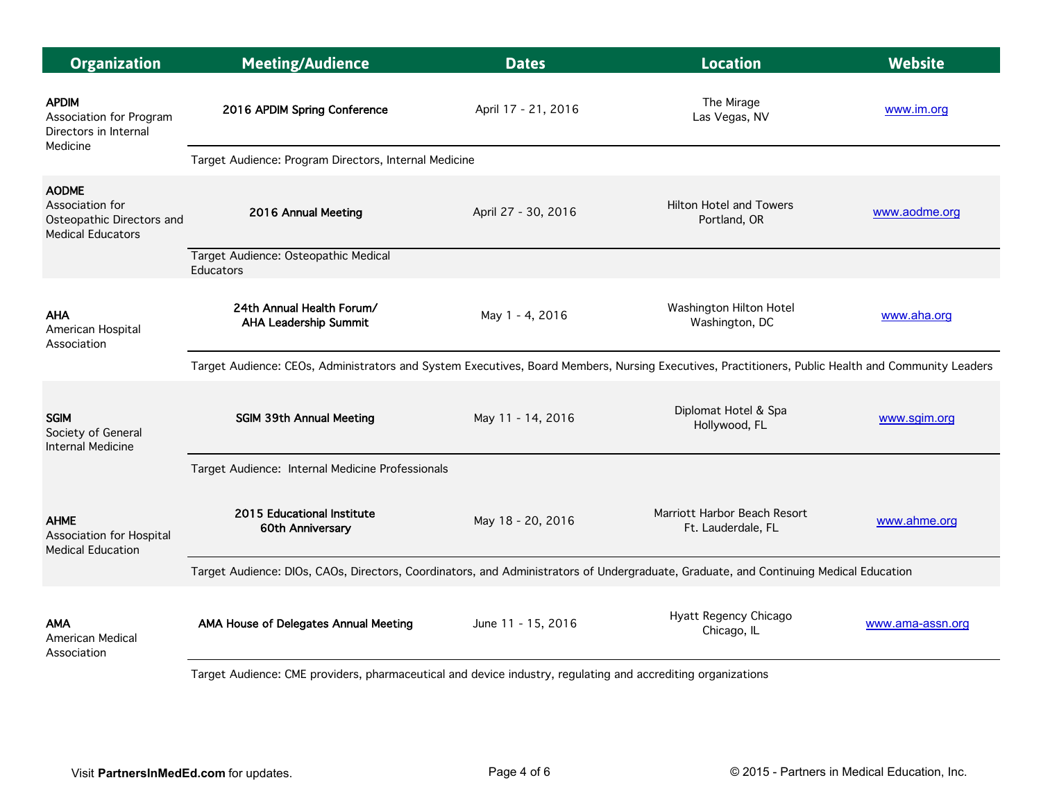| <b>Meeting/Audience</b>                                                                                                                            | <b>Dates</b>                                             | <b>Location</b>                                       | <b>Website</b>                                                                                             |  |
|----------------------------------------------------------------------------------------------------------------------------------------------------|----------------------------------------------------------|-------------------------------------------------------|------------------------------------------------------------------------------------------------------------|--|
| 2016 APDIM Spring Conference                                                                                                                       | April 17 - 21, 2016                                      | The Mirage<br>Las Vegas, NV                           | www.im.org                                                                                                 |  |
|                                                                                                                                                    |                                                          |                                                       |                                                                                                            |  |
| 2016 Annual Meeting                                                                                                                                | April 27 - 30, 2016                                      | <b>Hilton Hotel and Towers</b><br>Portland, OR        | www.aodme.org                                                                                              |  |
|                                                                                                                                                    |                                                          |                                                       |                                                                                                            |  |
| 24th Annual Health Forum/<br><b>AHA Leadership Summit</b>                                                                                          | May 1 - 4, 2016                                          | Washington Hilton Hotel<br>Washington, DC             | www.aha.org                                                                                                |  |
| Target Audience: CEOs, Administrators and System Executives, Board Members, Nursing Executives, Practitioners, Public Health and Community Leaders |                                                          |                                                       |                                                                                                            |  |
| <b>SGIM 39th Annual Meeting</b>                                                                                                                    | May 11 - 14, 2016                                        | Diplomat Hotel & Spa<br>Hollywood, FL                 | www.sgim.org                                                                                               |  |
| Target Audience: Internal Medicine Professionals                                                                                                   |                                                          |                                                       |                                                                                                            |  |
| <b>2015 Educational Institute</b><br>60th Anniversary                                                                                              | May 18 - 20, 2016                                        | Marriott Harbor Beach Resort<br>Ft. Lauderdale, FL    | www.ahme.org                                                                                               |  |
| Target Audience: DIOs, CAOs, Directors, Coordinators, and Administrators of Undergraduate, Graduate, and Continuing Medical Education              |                                                          |                                                       |                                                                                                            |  |
| AMA House of Delegates Annual Meeting                                                                                                              | June 11 - 15, 2016                                       | Hyatt Regency Chicago<br>Chicago, IL                  | www.ama-assn.org                                                                                           |  |
|                                                                                                                                                    | Target Audience: Osteopathic Medical<br><b>Educators</b> | Target Audience: Program Directors, Internal Medicine | Tornet Audiones: CNF providers phormesesuties and dovies industry, requisting and cooredition examinations |  |

Target Audience: CME providers, pharmaceutical and device industry, regulating and accrediting organizations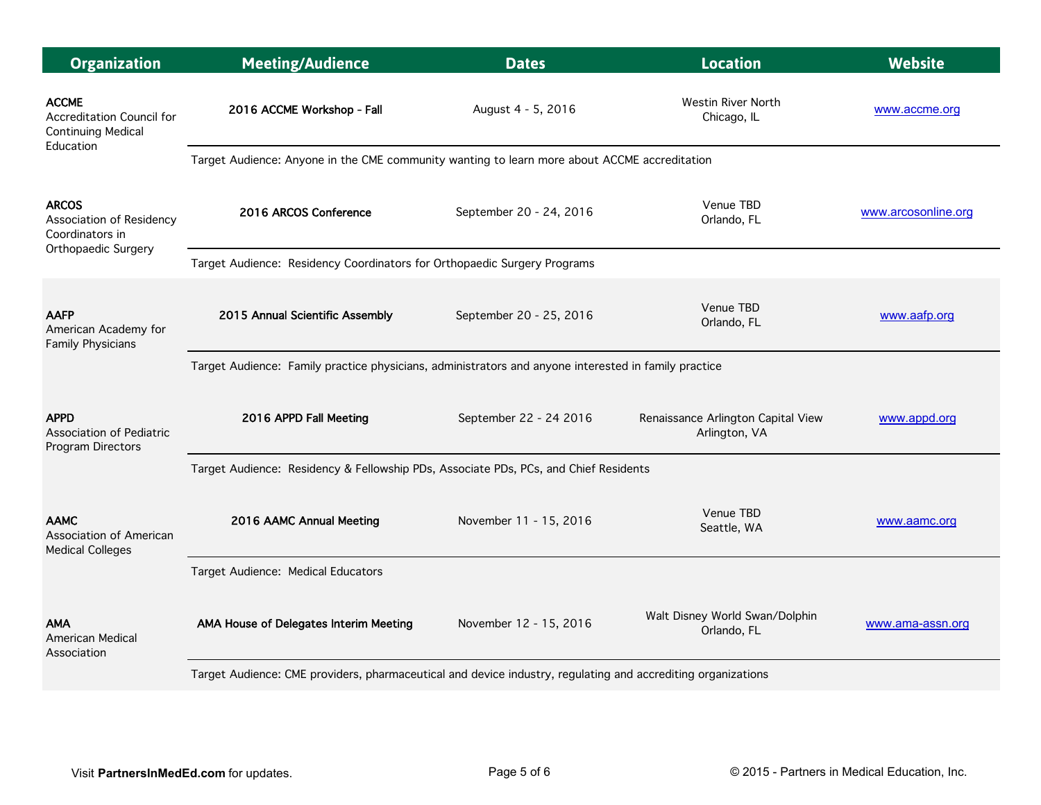| <b>Organization</b>                                                    | <b>Meeting/Audience</b>                                                                                      | <b>Dates</b>            | <b>Location</b>                                     | <b>Website</b>      |  |  |
|------------------------------------------------------------------------|--------------------------------------------------------------------------------------------------------------|-------------------------|-----------------------------------------------------|---------------------|--|--|
| <b>ACCME</b><br>Accreditation Council for<br><b>Continuing Medical</b> | 2016 ACCME Workshop - Fall                                                                                   | August 4 - 5, 2016      | <b>Westin River North</b><br>Chicago, IL            | www.accme.org       |  |  |
| Education                                                              | Target Audience: Anyone in the CME community wanting to learn more about ACCME accreditation                 |                         |                                                     |                     |  |  |
| <b>ARCOS</b><br>Association of Residency<br>Coordinators in            | 2016 ARCOS Conference                                                                                        | September 20 - 24, 2016 | Venue TBD<br>Orlando, FL                            | www.arcosonline.org |  |  |
| Orthopaedic Surgery                                                    | Target Audience: Residency Coordinators for Orthopaedic Surgery Programs                                     |                         |                                                     |                     |  |  |
| <b>AAFP</b><br>American Academy for<br>Family Physicians               | 2015 Annual Scientific Assembly                                                                              | September 20 - 25, 2016 | Venue TBD<br>Orlando, FL                            | www.aafp.org        |  |  |
|                                                                        | Target Audience: Family practice physicians, administrators and anyone interested in family practice         |                         |                                                     |                     |  |  |
| <b>APPD</b><br><b>Association of Pediatric</b><br>Program Directors    | 2016 APPD Fall Meeting                                                                                       | September 22 - 24 2016  | Renaissance Arlington Capital View<br>Arlington, VA | www.appd.org        |  |  |
|                                                                        | Target Audience: Residency & Fellowship PDs, Associate PDs, PCs, and Chief Residents                         |                         |                                                     |                     |  |  |
| <b>AAMC</b><br>Association of American<br><b>Medical Colleges</b>      | 2016 AAMC Annual Meeting                                                                                     | November 11 - 15, 2016  | Venue TBD<br>Seattle, WA                            | www.aamc.org        |  |  |
|                                                                        | Target Audience: Medical Educators                                                                           |                         |                                                     |                     |  |  |
| <b>AMA</b><br><b>American Medical</b><br>Association                   | AMA House of Delegates Interim Meeting                                                                       | November 12 - 15, 2016  | Walt Disney World Swan/Dolphin<br>Orlando, FL       | www.ama-assn.org    |  |  |
|                                                                        | Target Audience: CME providers, pharmaceutical and device industry, regulating and accrediting organizations |                         |                                                     |                     |  |  |